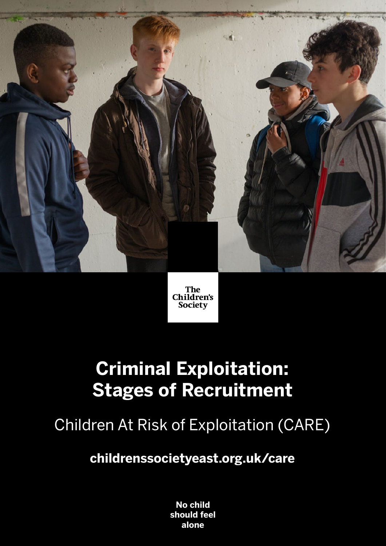



# **Criminal Exploitation: Stages of Recruitment**

Children At Risk of Exploitation (CARE)

**childrenssocietyeast.org.uk/care**

**No child should feel alone**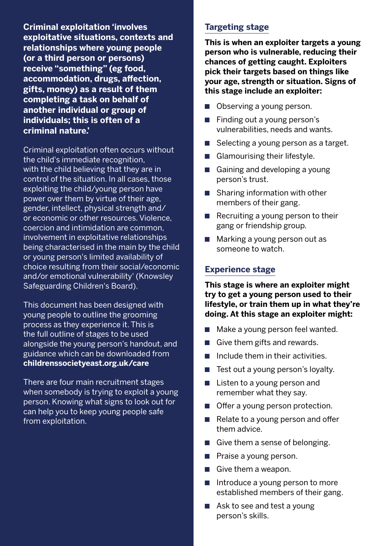**Criminal exploitation 'involves exploitative situations, contexts and relationships where young people (or a third person or persons) receive "something" (eg food, accommodation, drugs, affection, gifts, money) as a result of them completing a task on behalf of another individual or group of individuals; this is often of a criminal nature.'**

Criminal exploitation often occurs without the child's immediate recognition, with the child believing that they are in control of the situation. In all cases, those exploiting the child/young person have power over them by virtue of their age, gender, intellect, physical strength and/ or economic or other resources. Violence, coercion and intimidation are common, involvement in exploitative relationships being characterised in the main by the child or young person's limited availability of choice resulting from their social/economic and/or emotional vulnerability' (Knowsley Safeguarding Children's Board).

This document has been designed with young people to outline the grooming process as they experience it. This is the full outline of stages to be used alongside the young person's handout, and guidance which can be downloaded from **childrenssocietyeast.org.uk/care**

There are four main recruitment stages when somebody is trying to exploit a young person. Knowing what signs to look out for can help you to keep young people safe from exploitation.

#### **Targeting stage**

**This is when an exploiter targets a young person who is vulnerable, reducing their chances of getting caught. Exploiters pick their targets based on things like your age, strength or situation. Signs of this stage include an exploiter:** 

- Observing a young person.
- Finding out a young person's vulnerabilities, needs and wants.
- Selecting a young person as a target.
- Glamourising their lifestyle.
- Gaining and developing a young person's trust.
- Sharing information with other members of their gang.
- $\blacksquare$  Recruiting a young person to their gang or friendship group.
- Marking a young person out as someone to watch.

#### **Experience stage**

**This stage is where an exploiter might try to get a young person used to their lifestyle, or train them up in what they're doing. At this stage an exploiter might:**

- Make a young person feel wanted.
- $\blacksquare$  Give them gifts and rewards.
- $\blacksquare$  Include them in their activities.
- Test out a young person's loyalty.
- $\blacksquare$  Listen to a young person and remember what they say.
- Offer a young person protection.
- Relate to a young person and offer them advice.
- $\blacksquare$  Give them a sense of belonging.
- Praise a young person.
- $\blacksquare$  Give them a weapon.
- $\blacksquare$  Introduce a young person to more established members of their gang.
- $\blacksquare$  Ask to see and test a young person's skills.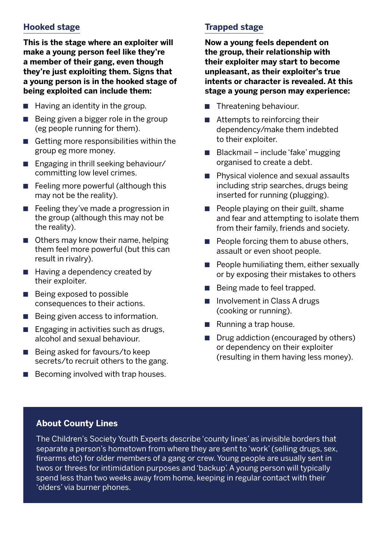#### **Hooked stage**

**This is the stage where an exploiter will make a young person feel like they're a member of their gang, even though they're just exploiting them. Signs that a young person is in the hooked stage of being exploited can include them:**

- $\blacksquare$  Having an identity in the group.
- $\blacksquare$  Being given a bigger role in the group (eg people running for them).
- $\blacksquare$  Getting more responsibilities within the group eg more money.
- Engaging in thrill seeking behaviour/ committing low level crimes.
- Feeling more powerful (although this may not be the reality).
- Feeling they've made a progression in the group (although this may not be the reality).
- Others may know their name, helping them feel more powerful (but this can result in rivalry).
- Having a dependency created by their exploiter.
- Being exposed to possible consequences to their actions.
- Being given access to information.
- Engaging in activities such as drugs, alcohol and sexual behaviour.
- Being asked for favours/to keep secrets/to recruit others to the gang.
- Becoming involved with trap houses.

## **Trapped stage**

**Now a young feels dependent on the group, their relationship with their exploiter may start to become unpleasant, as their exploiter's true intents or character is revealed. At this stage a young person may experience:** 

- Threatening behaviour.
- $\blacksquare$  Attempts to reinforcing their dependency/make them indebted to their exploiter.
- $\blacksquare$  Blackmail include 'fake' mugging organised to create a debt.
- Physical violence and sexual assaults including strip searches, drugs being inserted for running (plugging).
- People playing on their guilt, shame and fear and attempting to isolate them from their family, friends and society.
- $\blacksquare$  People forcing them to abuse others, assault or even shoot people.
- $\blacksquare$  People humiliating them, either sexually or by exposing their mistakes to others
- Being made to feel trapped.
- Involvement in Class A drugs (cooking or running).
- Running a trap house.
- Drug addiction (encouraged by others) or dependency on their exploiter (resulting in them having less money).

### **About County Lines**

The Children's Society Youth Experts describe 'county lines' as invisible borders that separate a person's hometown from where they are sent to 'work' (selling drugs, sex, firearms etc) for older members of a gang or crew. Young people are usually sent in twos or threes for intimidation purposes and 'backup'. A young person will typically spend less than two weeks away from home, keeping in regular contact with their 'olders' via burner phones.